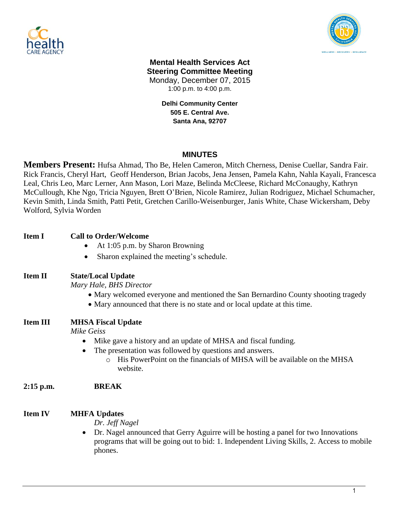



## **Mental Health Services Act Steering Committee Meeting** Monday, December 07, 2015 1:00 p.m. to 4:00 p.m.

**Delhi Community Center 505 E. Central Ave. Santa Ana, 92707**

# **MINUTES**

**Members Present:** Hufsa Ahmad, Tho Be, Helen Cameron, Mitch Cherness, Denise Cuellar, Sandra Fair. Rick Francis, Cheryl Hart, Geoff Henderson, Brian Jacobs, Jena Jensen, Pamela Kahn, Nahla Kayali, Francesca Leal, Chris Leo, Marc Lerner, Ann Mason, Lori Maze, Belinda McCleese, Richard McConaughy, Kathryn McCullough, Khe Ngo, Tricia Nguyen, Brett O'Brien, Nicole Ramirez, Julian Rodriguez, Michael Schumacher, Kevin Smith, Linda Smith, Patti Petit, Gretchen Carillo-Weisenburger, Janis White, Chase Wickersham, Deby Wolford, Sylvia Worden

| Item I         | <b>Call to Order/Welcome</b><br>At 1:05 p.m. by Sharon Browning<br>$\bullet$<br>Sharon explained the meeting's schedule.                                                                                                                                              |
|----------------|-----------------------------------------------------------------------------------------------------------------------------------------------------------------------------------------------------------------------------------------------------------------------|
| <b>Item II</b> | <b>State/Local Update</b><br>Mary Hale, BHS Director<br>• Mary welcomed everyone and mentioned the San Bernardino County shooting tragedy<br>• Mary announced that there is no state and or local update at this time.                                                |
| Item III       | <b>MHSA Fiscal Update</b><br>Mike Geiss<br>Mike gave a history and an update of MHSA and fiscal funding.<br>The presentation was followed by questions and answers.<br>His PowerPoint on the financials of MHSA will be available on the MHSA<br>$\Omega$<br>website. |
| 2:15 p.m.      | <b>BREAK</b>                                                                                                                                                                                                                                                          |
| Item IV        | <b>MHFA Updates</b><br>Dr. Jeff Nagel<br>Dr. Nagel announced that Gerry Aguirre will be hosting a panel for two Innovations<br>$\bullet$<br>programs that will be going out to bid: 1. Independent Living Skills, 2. Access to mobile<br>phones.                      |